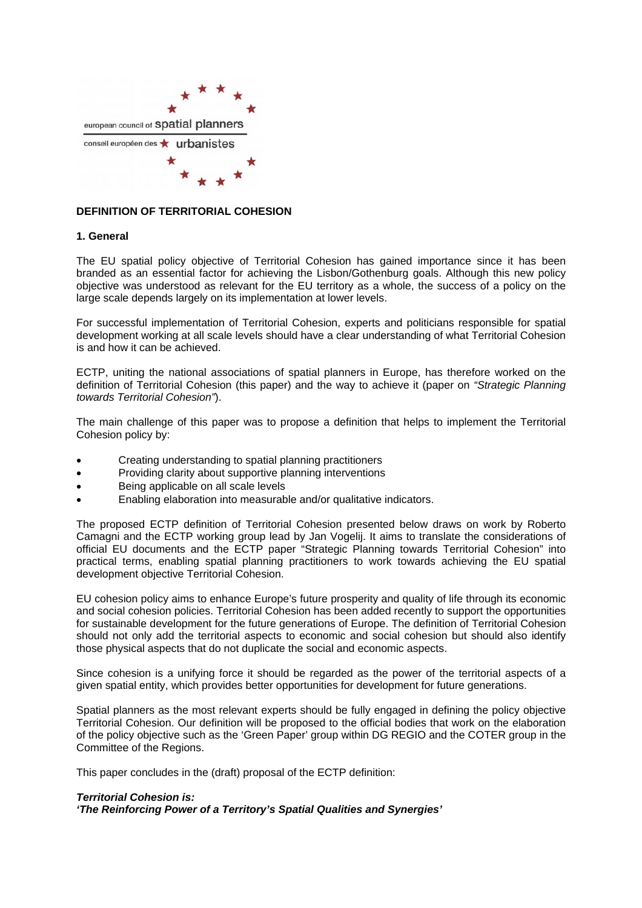

## **DEFINITION OF TERRITORIAL COHESION**

#### **1. General**

The EU spatial policy objective of Territorial Cohesion has gained importance since it has been branded as an essential factor for achieving the Lisbon/Gothenburg goals. Although this new policy objective was understood as relevant for the EU territory as a whole, the success of a policy on the large scale depends largely on its implementation at lower levels.

For successful implementation of Territorial Cohesion, experts and politicians responsible for spatial development working at all scale levels should have a clear understanding of what Territorial Cohesion is and how it can be achieved.

ECTP, uniting the national associations of spatial planners in Europe, has therefore worked on the definition of Territorial Cohesion (this paper) and the way to achieve it (paper on *"Strategic Planning towards Territorial Cohesion"*).

The main challenge of this paper was to propose a definition that helps to implement the Territorial Cohesion policy by:

- Creating understanding to spatial planning practitioners
- Providing clarity about supportive planning interventions
- Being applicable on all scale levels
- Enabling elaboration into measurable and/or qualitative indicators.

The proposed ECTP definition of Territorial Cohesion presented below draws on work by Roberto Camagni and the ECTP working group lead by Jan Vogelij. It aims to translate the considerations of official EU documents and the ECTP paper "Strategic Planning towards Territorial Cohesion" into practical terms, enabling spatial planning practitioners to work towards achieving the EU spatial development objective Territorial Cohesion.

EU cohesion policy aims to enhance Europe's future prosperity and quality of life through its economic and social cohesion policies. Territorial Cohesion has been added recently to support the opportunities for sustainable development for the future generations of Europe. The definition of Territorial Cohesion should not only add the territorial aspects to economic and social cohesion but should also identify those physical aspects that do not duplicate the social and economic aspects.

Since cohesion is a unifying force it should be regarded as the power of the territorial aspects of a given spatial entity, which provides better opportunities for development for future generations.

Spatial planners as the most relevant experts should be fully engaged in defining the policy objective Territorial Cohesion. Our definition will be proposed to the official bodies that work on the elaboration of the policy objective such as the 'Green Paper' group within DG REGIO and the COTER group in the Committee of the Regions.

This paper concludes in the (draft) proposal of the ECTP definition:

# *Territorial Cohesion is:*

*'The Reinforcing Power of a Territory's Spatial Qualities and Synergies'*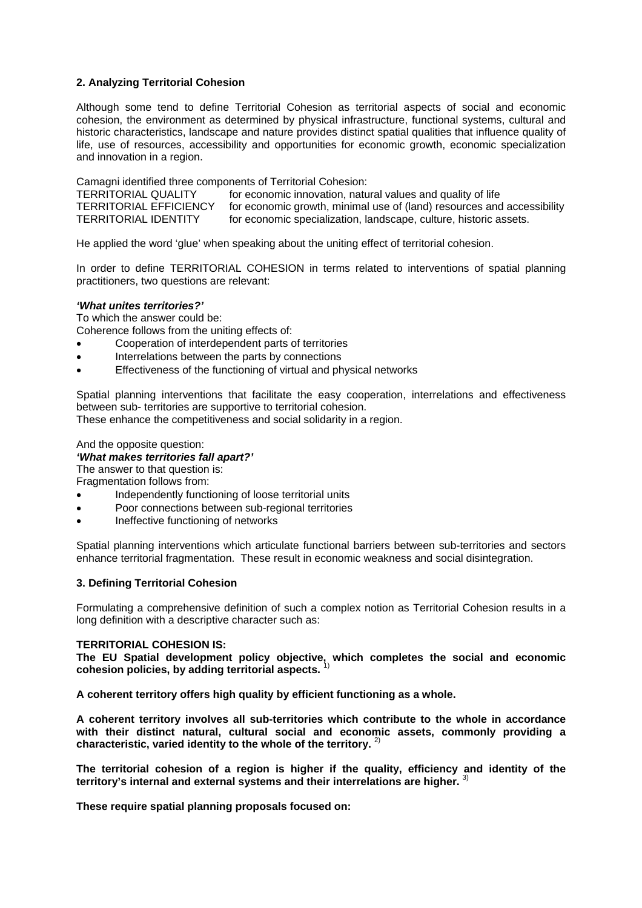## **2. Analyzing Territorial Cohesion**

Although some tend to define Territorial Cohesion as territorial aspects of social and economic cohesion, the environment as determined by physical infrastructure, functional systems, cultural and historic characteristics, landscape and nature provides distinct spatial qualities that influence quality of life, use of resources, accessibility and opportunities for economic growth, economic specialization and innovation in a region.

Camagni identified three components of Territorial Cohesion:<br>TERRITORIAL QUALITY for economic innovation, natu

TERRITORIAL QUALITY for economic innovation, natural values and quality of life<br>TERRITORIAL EFFICIENCY for economic growth, minimal use of (land) resources and for economic growth, minimal use of (land) resources and accessibility TERRITORIAL IDENTITY for economic specialization, landscape, culture, historic assets.

He applied the word 'glue' when speaking about the uniting effect of territorial cohesion.

In order to define TERRITORIAL COHESION in terms related to interventions of spatial planning practitioners, two questions are relevant:

#### *'What unites territories?'*

To which the answer could be:

Coherence follows from the uniting effects of:

- Cooperation of interdependent parts of territories
- Interrelations between the parts by connections
- Effectiveness of the functioning of virtual and physical networks

Spatial planning interventions that facilitate the easy cooperation, interrelations and effectiveness between sub- territories are supportive to territorial cohesion.

These enhance the competitiveness and social solidarity in a region.

#### And the opposite question:

#### *'What makes territories fall apart?'*

The answer to that question is:

Fragmentation follows from:

- Independently functioning of loose territorial units
- Poor connections between sub-regional territories
- Ineffective functioning of networks

Spatial planning interventions which articulate functional barriers between sub-territories and sectors enhance territorial fragmentation. These result in economic weakness and social disintegration.

#### **3. Defining Territorial Cohesion**

Formulating a comprehensive definition of such a complex notion as Territorial Cohesion results in a long definition with a descriptive character such as:

#### **TERRITORIAL COHESION IS:**

**The EU Spatial development policy objective, which completes the social and economic cohesion policies, by adding territorial aspects.** 1)

**A coherent territory offers high quality by efficient functioning as a whole.** 

**A coherent territory involves all sub-territories which contribute to the whole in accordance with their distinct natural, cultural social and economic assets, commonly providing a characteristic, varied identity to the whole of the territory.** 2)

**The territorial cohesion of a region is higher if the quality, efficiency and identity of the territory's internal and external systems and their interrelations are higher.** 3)

**These require spatial planning proposals focused on:**